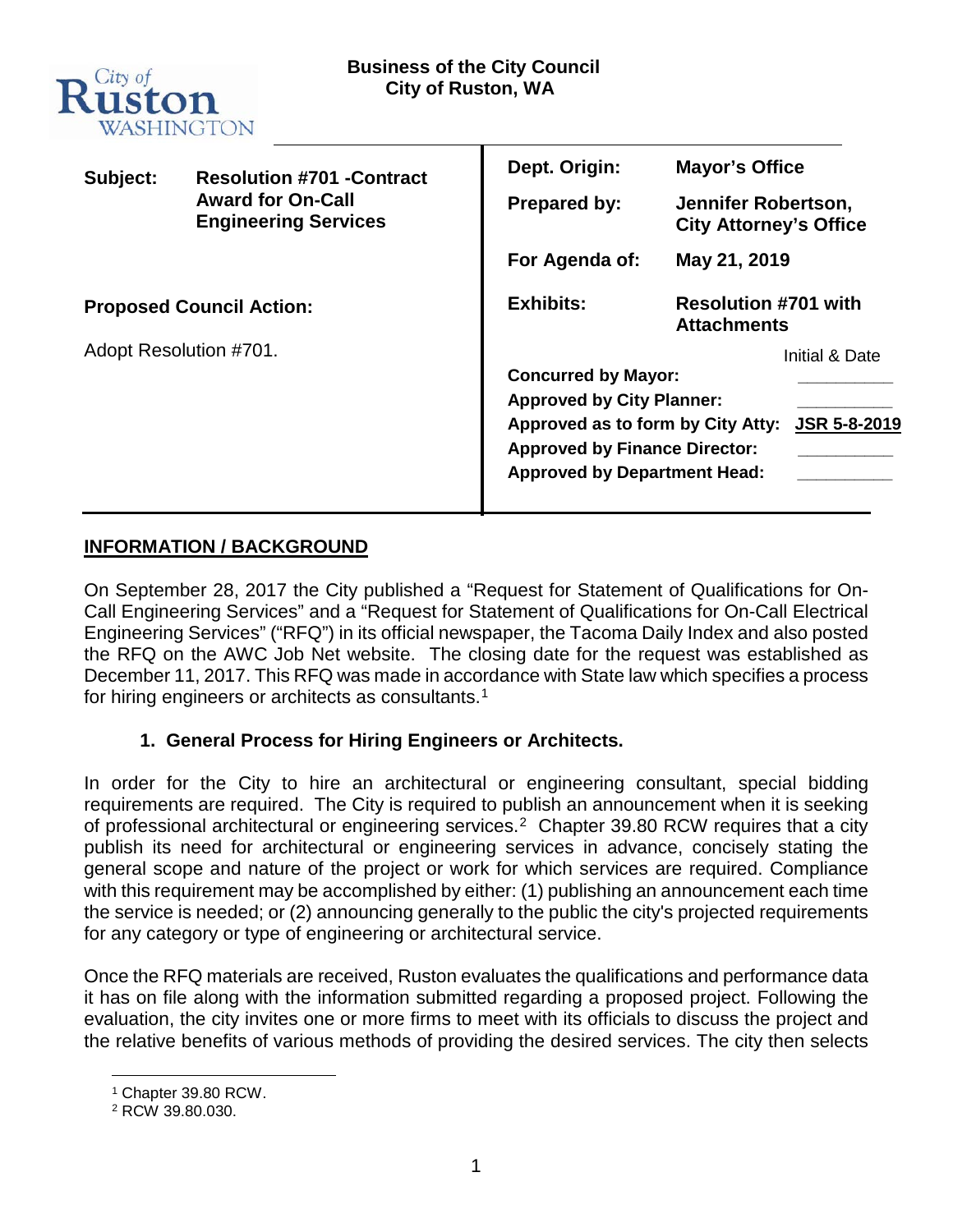

| Subject:                        | <b>Resolution #701 -Contract</b><br><b>Award for On-Call</b><br><b>Engineering Services</b> | Dept. Origin:                                                                                                                                                                      | <b>Mayor's Office</b>                             |
|---------------------------------|---------------------------------------------------------------------------------------------|------------------------------------------------------------------------------------------------------------------------------------------------------------------------------------|---------------------------------------------------|
|                                 |                                                                                             | Jennifer Robertson,<br><b>Prepared by:</b><br><b>City Attorney's Office</b>                                                                                                        |                                                   |
|                                 |                                                                                             | For Agenda of:                                                                                                                                                                     | May 21, 2019                                      |
| <b>Proposed Council Action:</b> |                                                                                             | <b>Exhibits:</b>                                                                                                                                                                   | <b>Resolution #701 with</b><br><b>Attachments</b> |
| Adopt Resolution #701.          |                                                                                             | <b>Concurred by Mayor:</b><br><b>Approved by City Planner:</b><br>Approved as to form by City Atty:<br><b>Approved by Finance Director:</b><br><b>Approved by Department Head:</b> | Initial & Date<br><b>JSR 5-8-2019</b>             |

# **INFORMATION / BACKGROUND**

On September 28, 2017 the City published a "Request for Statement of Qualifications for On-Call Engineering Services" and a "Request for Statement of Qualifications for On-Call Electrical Engineering Services" ("RFQ") in its official newspaper, the Tacoma Daily Index and also posted the RFQ on the AWC Job Net website. The closing date for the request was established as December 11, 2017. This RFQ was made in accordance with State law which specifies a process for hiring engineers or architects as consultants.<sup>[1](#page-0-0)</sup>

## **1. General Process for Hiring Engineers or Architects.**

In order for the City to hire an architectural or engineering consultant, special bidding requirements are required. The City is required to publish an announcement when it is seeking of professional architectural or engineering services.<sup>[2](#page-0-1)</sup> Chapter 39.80 RCW requires that a city publish its need for architectural or engineering services in advance, concisely stating the general scope and nature of the project or work for which services are required. Compliance with this requirement may be accomplished by either: (1) publishing an announcement each time the service is needed; or (2) announcing generally to the public the city's projected requirements for any category or type of engineering or architectural service.

Once the RFQ materials are received, Ruston evaluates the qualifications and performance data it has on file along with the information submitted regarding a proposed project. Following the evaluation, the city invites one or more firms to meet with its officials to discuss the project and the relative benefits of various methods of providing the desired services. The city then selects

 <sup>1</sup> Chapter 39.80 RCW.

<span id="page-0-1"></span><span id="page-0-0"></span><sup>2</sup> RCW 39.80.030.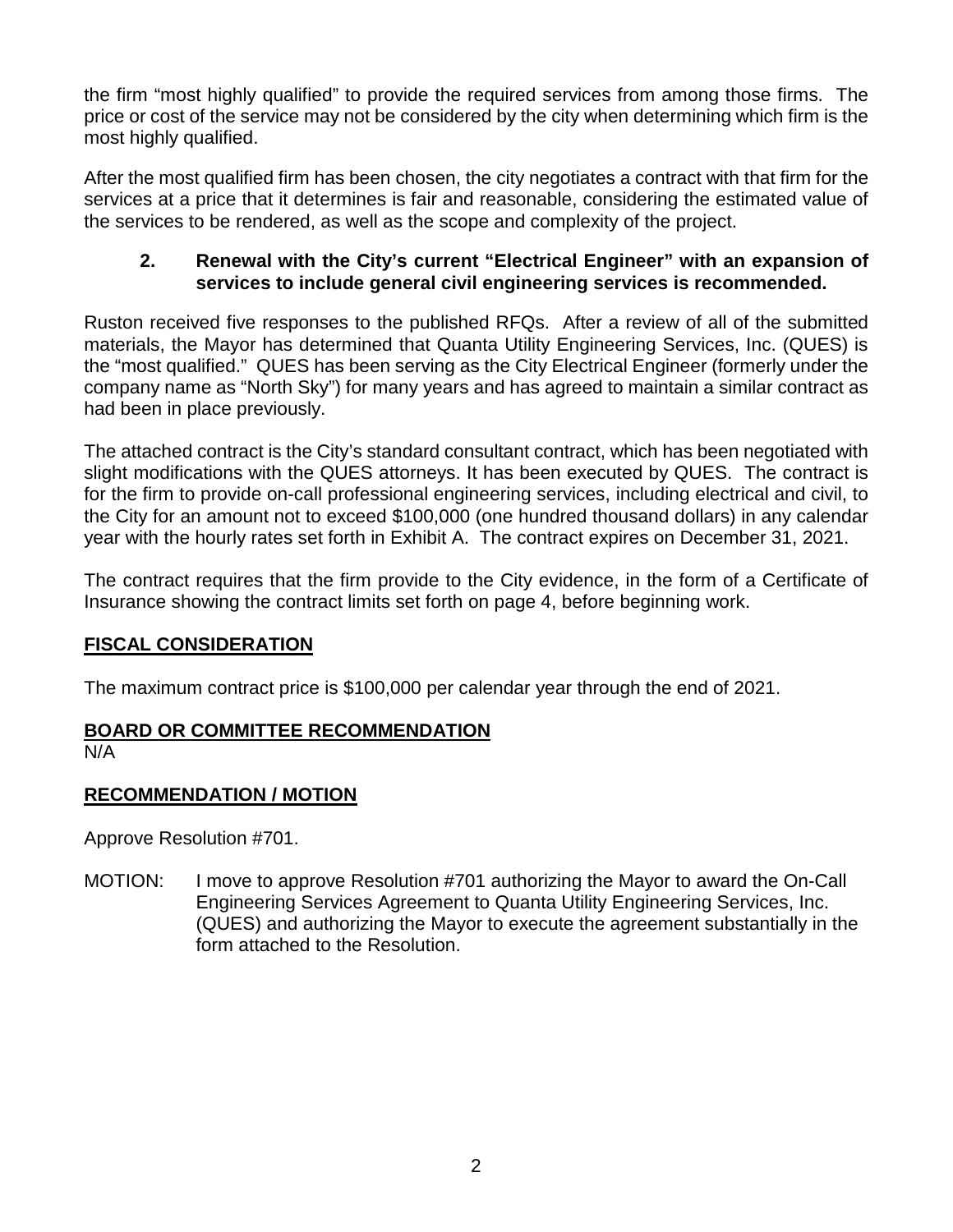the firm "most highly qualified" to provide the required services from among those firms. The price or cost of the service may not be considered by the city when determining which firm is the most highly qualified.

After the most qualified firm has been chosen, the city negotiates a contract with that firm for the services at a price that it determines is fair and reasonable, considering the estimated value of the services to be rendered, as well as the scope and complexity of the project.

### **2. Renewal with the City's current "Electrical Engineer" with an expansion of services to include general civil engineering services is recommended.**

Ruston received five responses to the published RFQs. After a review of all of the submitted materials, the Mayor has determined that Quanta Utility Engineering Services, Inc. (QUES) is the "most qualified." QUES has been serving as the City Electrical Engineer (formerly under the company name as "North Sky") for many years and has agreed to maintain a similar contract as had been in place previously.

The attached contract is the City's standard consultant contract, which has been negotiated with slight modifications with the QUES attorneys. It has been executed by QUES. The contract is for the firm to provide on-call professional engineering services, including electrical and civil, to the City for an amount not to exceed \$100,000 (one hundred thousand dollars) in any calendar year with the hourly rates set forth in Exhibit A. The contract expires on December 31, 2021.

The contract requires that the firm provide to the City evidence, in the form of a Certificate of Insurance showing the contract limits set forth on page 4, before beginning work.

## **FISCAL CONSIDERATION**

The maximum contract price is \$100,000 per calendar year through the end of 2021.

## **BOARD OR COMMITTEE RECOMMENDATION**

N/A

# **RECOMMENDATION / MOTION**

Approve Resolution #701.

MOTION: I move to approve Resolution #701 authorizing the Mayor to award the On-Call Engineering Services Agreement to Quanta Utility Engineering Services, Inc. (QUES) and authorizing the Mayor to execute the agreement substantially in the form attached to the Resolution.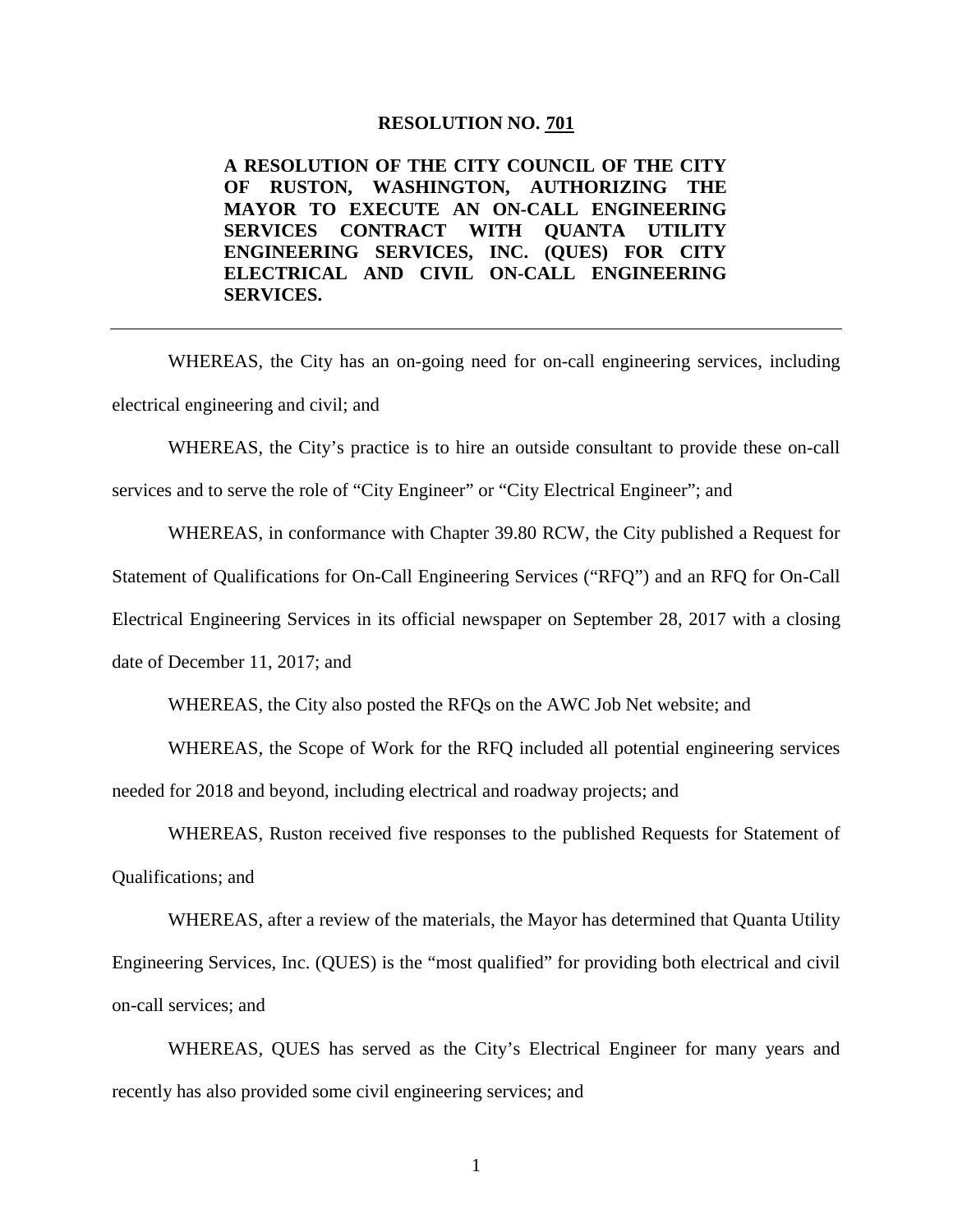#### **RESOLUTION NO. 701**

**A RESOLUTION OF THE CITY COUNCIL OF THE CITY OF RUSTON, WASHINGTON, AUTHORIZING THE MAYOR TO EXECUTE AN ON-CALL ENGINEERING SERVICES CONTRACT WITH QUANTA UTILITY ENGINEERING SERVICES, INC. (QUES) FOR CITY ELECTRICAL AND CIVIL ON-CALL ENGINEERING SERVICES.**

WHEREAS, the City has an on-going need for on-call engineering services, including electrical engineering and civil; and

WHEREAS, the City's practice is to hire an outside consultant to provide these on-call

services and to serve the role of "City Engineer" or "City Electrical Engineer"; and

WHEREAS, in conformance with Chapter 39.80 RCW, the City published a Request for

Statement of Qualifications for On-Call Engineering Services ("RFQ") and an RFQ for On-Call

Electrical Engineering Services in its official newspaper on September 28, 2017 with a closing

date of December 11, 2017; and

WHEREAS, the City also posted the RFQs on the AWC Job Net website; and

WHEREAS, the Scope of Work for the RFQ included all potential engineering services needed for 2018 and beyond, including electrical and roadway projects; and

WHEREAS, Ruston received five responses to the published Requests for Statement of Qualifications; and

WHEREAS, after a review of the materials, the Mayor has determined that Quanta Utility Engineering Services, Inc. (QUES) is the "most qualified" for providing both electrical and civil on-call services; and

WHEREAS, QUES has served as the City's Electrical Engineer for many years and recently has also provided some civil engineering services; and

1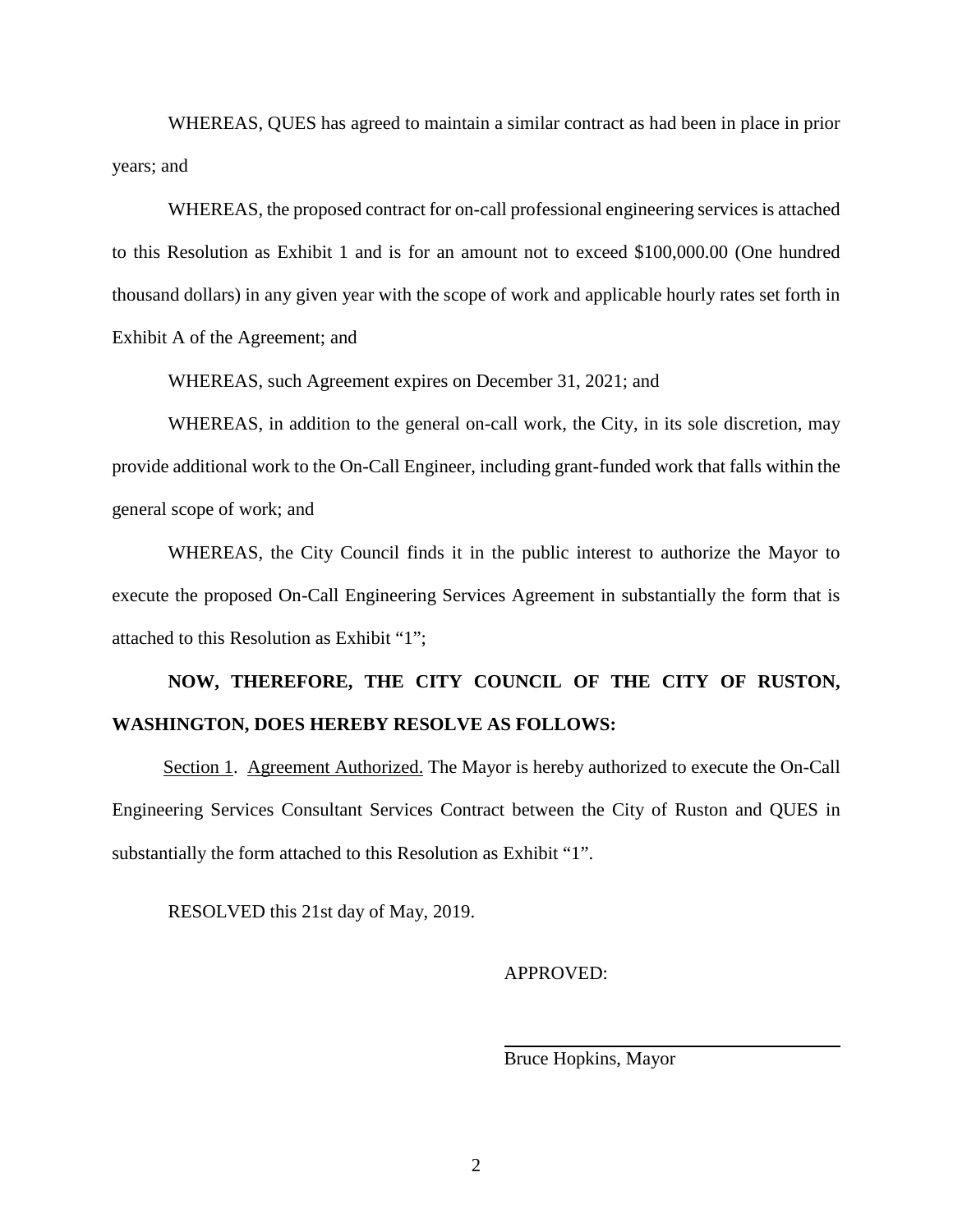WHEREAS, QUES has agreed to maintain a similar contract as had been in place in prior years; and

WHEREAS, the proposed contract for on-call professional engineering services is attached to this Resolution as Exhibit 1 and is for an amount not to exceed \$100,000.00 (One hundred thousand dollars) in any given year with the scope of work and applicable hourly rates set forth in Exhibit A of the Agreement; and

WHEREAS, such Agreement expires on December 31, 2021; and

WHEREAS, in addition to the general on-call work, the City, in its sole discretion, may provide additional work to the On-Call Engineer, including grant-funded work that falls within the general scope of work; and

WHEREAS, the City Council finds it in the public interest to authorize the Mayor to execute the proposed On-Call Engineering Services Agreement in substantially the form that is attached to this Resolution as Exhibit "1";

# **NOW, THEREFORE, THE CITY COUNCIL OF THE CITY OF RUSTON, WASHINGTON, DOES HEREBY RESOLVE AS FOLLOWS:**

Section 1. Agreement Authorized. The Mayor is hereby authorized to execute the On-Call Engineering Services Consultant Services Contract between the City of Ruston and QUES in substantially the form attached to this Resolution as Exhibit "1".

RESOLVED this 21st day of May, 2019.

APPROVED:

Bruce Hopkins, Mayor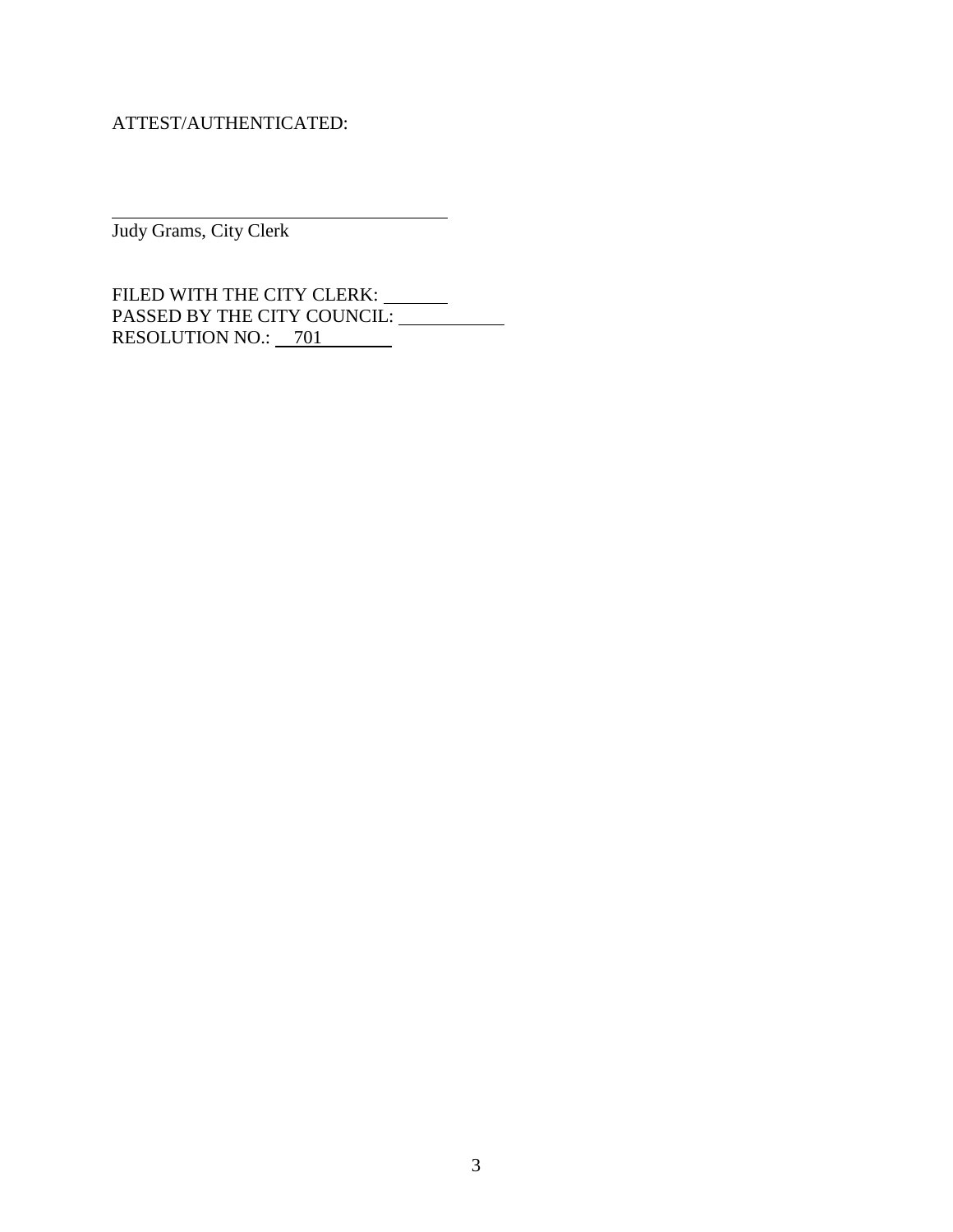ATTEST/AUTHENTICATED:

<u> 1989 - Johann Barnett, fransk politiker (</u> Judy Grams, City Clerk

FILED WITH THE CITY CLERK: PASSED BY THE CITY COUNCIL: RESOLUTION NO.: 701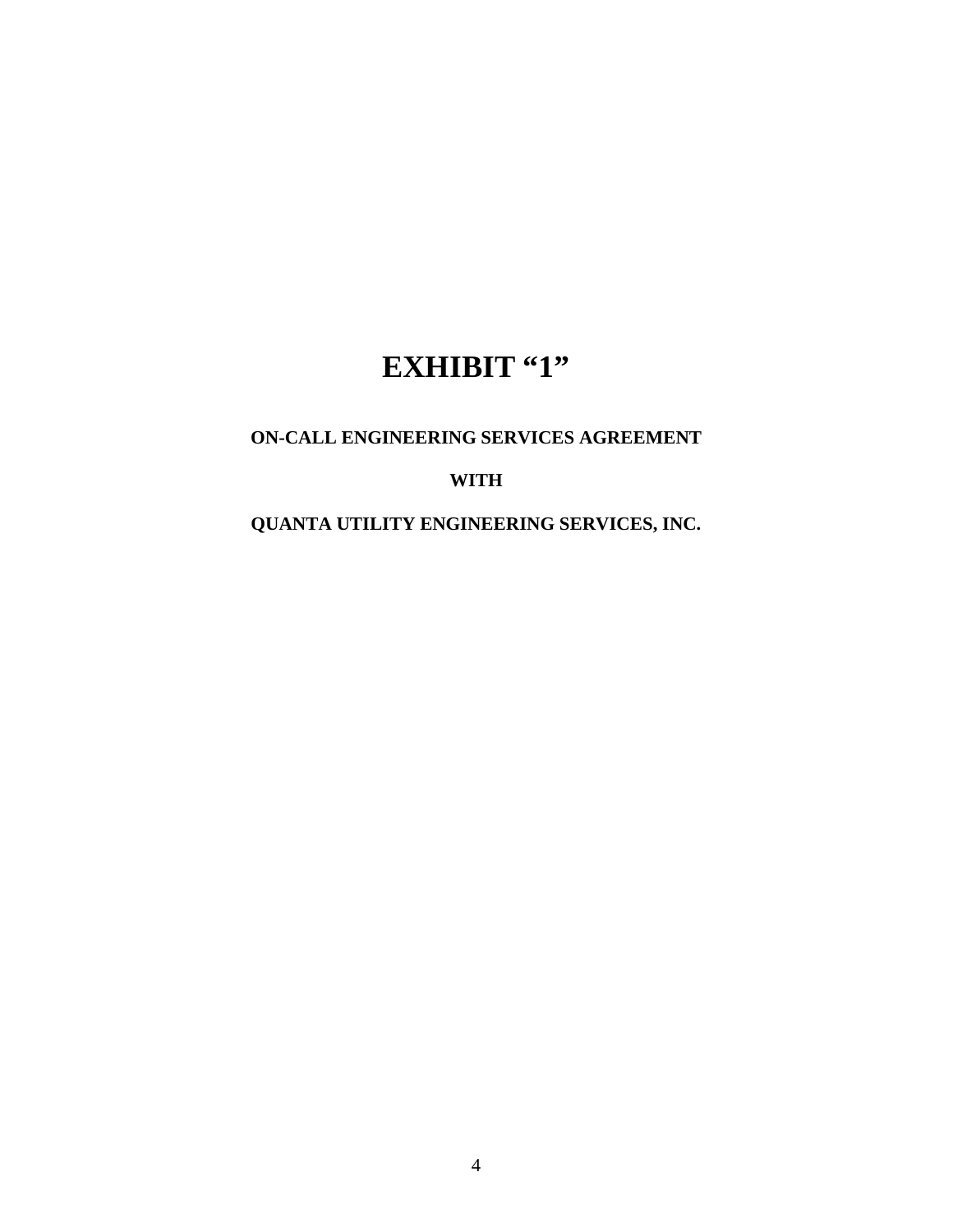# **EXHIBIT "1"**

#### **ON-CALL ENGINEERING SERVICES AGREEMENT**

#### **WITH**

**QUANTA UTILITY ENGINEERING SERVICES, INC.**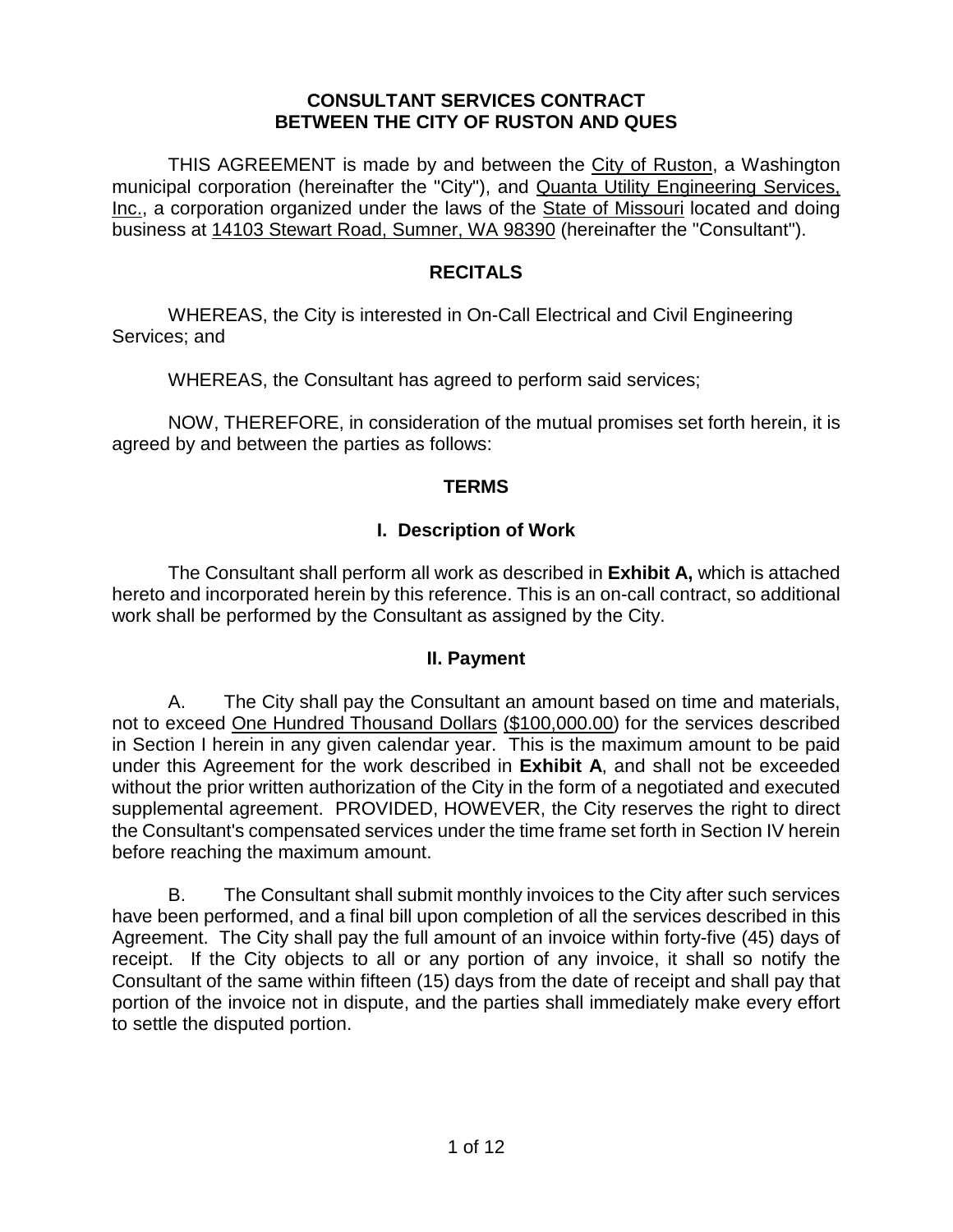#### **CONSULTANT SERVICES CONTRACT BETWEEN THE CITY OF RUSTON AND QUES**

THIS AGREEMENT is made by and between the City of Ruston, a Washington municipal corporation (hereinafter the "City"), and Quanta Utility Engineering Services, Inc., a corporation organized under the laws of the State of Missouri located and doing business at 14103 Stewart Road, Sumner, WA 98390 (hereinafter the "Consultant").

#### **RECITALS**

WHEREAS, the City is interested in On-Call Electrical and Civil Engineering Services; and

WHEREAS, the Consultant has agreed to perform said services;

NOW, THEREFORE, in consideration of the mutual promises set forth herein, it is agreed by and between the parties as follows:

## **TERMS**

## **I. Description of Work**

The Consultant shall perform all work as described in **Exhibit A,** which is attached hereto and incorporated herein by this reference. This is an on-call contract, so additional work shall be performed by the Consultant as assigned by the City.

#### **II. Payment**

A. The City shall pay the Consultant an amount based on time and materials, not to exceed One Hundred Thousand Dollars (\$100,000.00) for the services described in Section I herein in any given calendar year. This is the maximum amount to be paid under this Agreement for the work described in **Exhibit A**, and shall not be exceeded without the prior written authorization of the City in the form of a negotiated and executed supplemental agreement. PROVIDED, HOWEVER, the City reserves the right to direct the Consultant's compensated services under the time frame set forth in Section IV herein before reaching the maximum amount.

B. The Consultant shall submit monthly invoices to the City after such services have been performed, and a final bill upon completion of all the services described in this Agreement. The City shall pay the full amount of an invoice within forty-five (45) days of receipt. If the City objects to all or any portion of any invoice, it shall so notify the Consultant of the same within fifteen (15) days from the date of receipt and shall pay that portion of the invoice not in dispute, and the parties shall immediately make every effort to settle the disputed portion.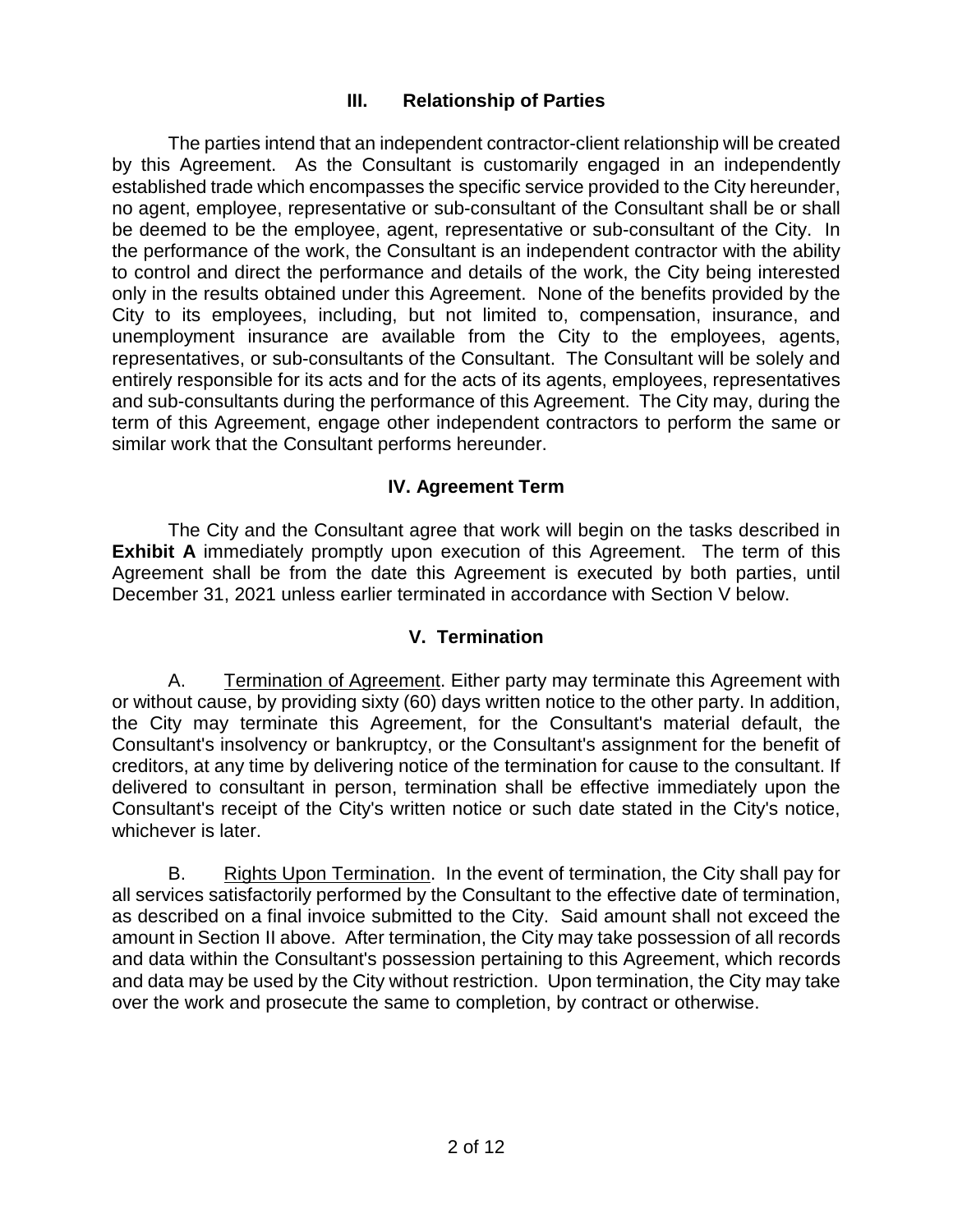## **III. Relationship of Parties**

The parties intend that an independent contractor-client relationship will be created by this Agreement. As the Consultant is customarily engaged in an independently established trade which encompasses the specific service provided to the City hereunder, no agent, employee, representative or sub-consultant of the Consultant shall be or shall be deemed to be the employee, agent, representative or sub-consultant of the City. In the performance of the work, the Consultant is an independent contractor with the ability to control and direct the performance and details of the work, the City being interested only in the results obtained under this Agreement. None of the benefits provided by the City to its employees, including, but not limited to, compensation, insurance, and unemployment insurance are available from the City to the employees, agents, representatives, or sub-consultants of the Consultant. The Consultant will be solely and entirely responsible for its acts and for the acts of its agents, employees, representatives and sub-consultants during the performance of this Agreement. The City may, during the term of this Agreement, engage other independent contractors to perform the same or similar work that the Consultant performs hereunder.

#### **IV. Agreement Term**

The City and the Consultant agree that work will begin on the tasks described in **Exhibit A** immediately promptly upon execution of this Agreement. The term of this Agreement shall be from the date this Agreement is executed by both parties, until December 31, 2021 unless earlier terminated in accordance with Section V below.

## **V. Termination**

A. Termination of Agreement. Either party may terminate this Agreement with or without cause, by providing sixty (60) days written notice to the other party. In addition, the City may terminate this Agreement, for the Consultant's material default, the Consultant's insolvency or bankruptcy, or the Consultant's assignment for the benefit of creditors, at any time by delivering notice of the termination for cause to the consultant. If delivered to consultant in person, termination shall be effective immediately upon the Consultant's receipt of the City's written notice or such date stated in the City's notice, whichever is later.

B. Rights Upon Termination. In the event of termination, the City shall pay for all services satisfactorily performed by the Consultant to the effective date of termination, as described on a final invoice submitted to the City. Said amount shall not exceed the amount in Section II above. After termination, the City may take possession of all records and data within the Consultant's possession pertaining to this Agreement, which records and data may be used by the City without restriction. Upon termination, the City may take over the work and prosecute the same to completion, by contract or otherwise.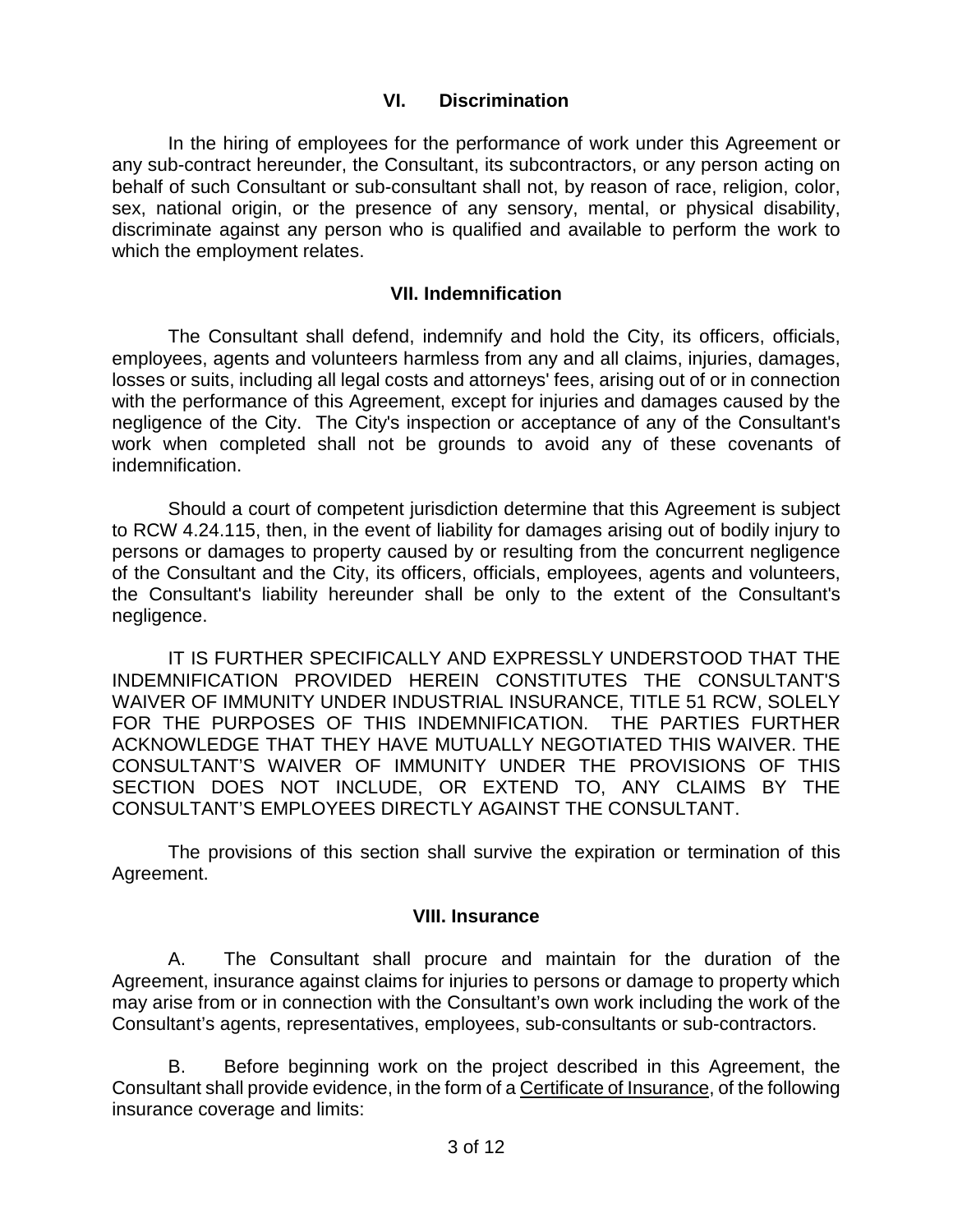#### **VI. Discrimination**

In the hiring of employees for the performance of work under this Agreement or any sub-contract hereunder, the Consultant, its subcontractors, or any person acting on behalf of such Consultant or sub-consultant shall not, by reason of race, religion, color, sex, national origin, or the presence of any sensory, mental, or physical disability, discriminate against any person who is qualified and available to perform the work to which the employment relates.

#### **VII. Indemnification**

The Consultant shall defend, indemnify and hold the City, its officers, officials, employees, agents and volunteers harmless from any and all claims, injuries, damages, losses or suits, including all legal costs and attorneys' fees, arising out of or in connection with the performance of this Agreement, except for injuries and damages caused by the negligence of the City. The City's inspection or acceptance of any of the Consultant's work when completed shall not be grounds to avoid any of these covenants of indemnification.

Should a court of competent jurisdiction determine that this Agreement is subject to RCW 4.24.115, then, in the event of liability for damages arising out of bodily injury to persons or damages to property caused by or resulting from the concurrent negligence of the Consultant and the City, its officers, officials, employees, agents and volunteers, the Consultant's liability hereunder shall be only to the extent of the Consultant's negligence.

IT IS FURTHER SPECIFICALLY AND EXPRESSLY UNDERSTOOD THAT THE INDEMNIFICATION PROVIDED HEREIN CONSTITUTES THE CONSULTANT'S WAIVER OF IMMUNITY UNDER INDUSTRIAL INSURANCE, TITLE 51 RCW, SOLELY FOR THE PURPOSES OF THIS INDEMNIFICATION. THE PARTIES FURTHER ACKNOWLEDGE THAT THEY HAVE MUTUALLY NEGOTIATED THIS WAIVER. THE CONSULTANT'S WAIVER OF IMMUNITY UNDER THE PROVISIONS OF THIS SECTION DOES NOT INCLUDE, OR EXTEND TO, ANY CLAIMS BY THE CONSULTANT'S EMPLOYEES DIRECTLY AGAINST THE CONSULTANT.

The provisions of this section shall survive the expiration or termination of this Agreement.

#### **VIII. Insurance**

A. The Consultant shall procure and maintain for the duration of the Agreement, insurance against claims for injuries to persons or damage to property which may arise from or in connection with the Consultant's own work including the work of the Consultant's agents, representatives, employees, sub-consultants or sub-contractors.

B. Before beginning work on the project described in this Agreement, the Consultant shall provide evidence, in the form of a Certificate of Insurance, of the following insurance coverage and limits: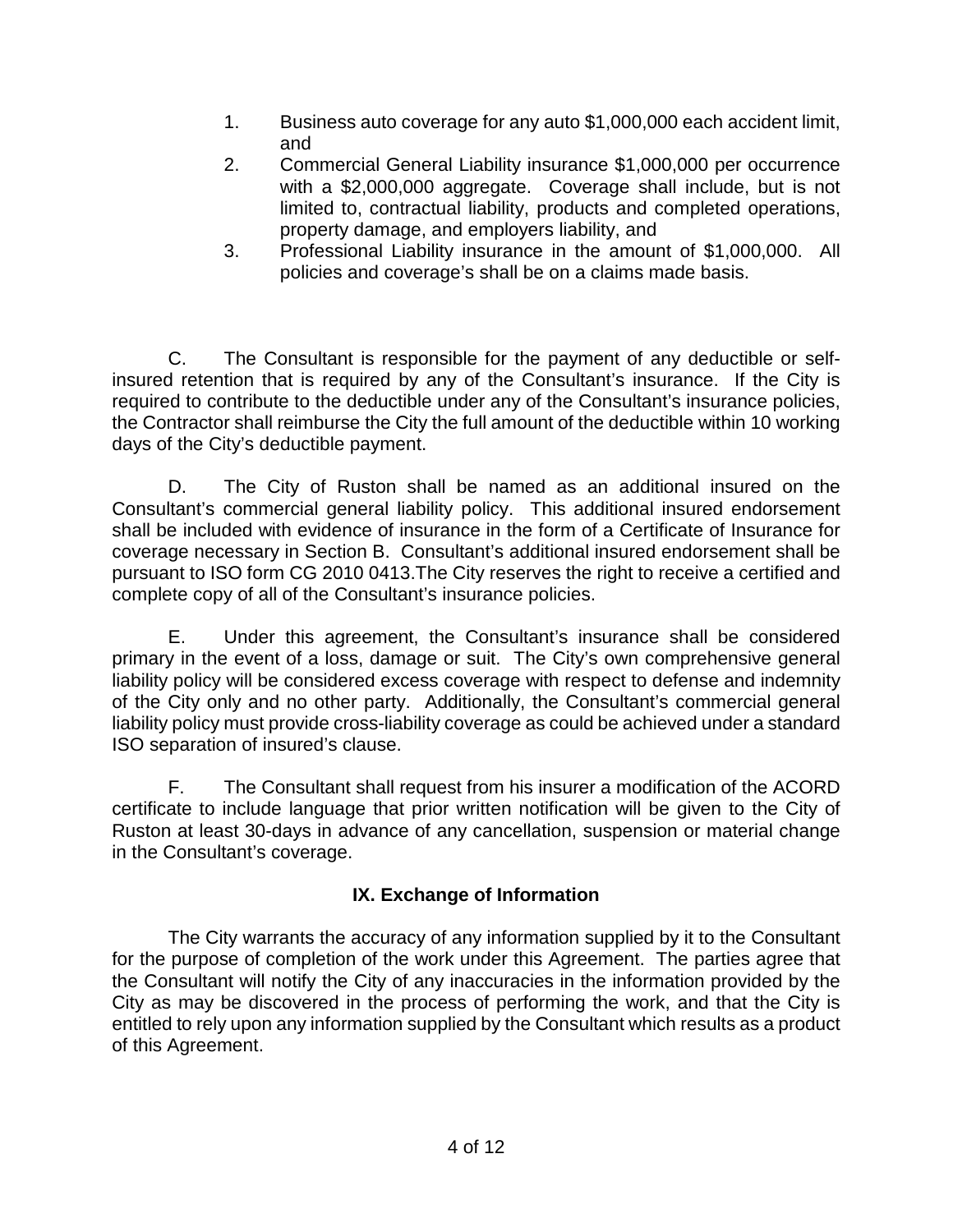- 1. Business auto coverage for any auto \$1,000,000 each accident limit, and
- 2. Commercial General Liability insurance \$1,000,000 per occurrence with a \$2,000,000 aggregate. Coverage shall include, but is not limited to, contractual liability, products and completed operations, property damage, and employers liability, and
- 3. Professional Liability insurance in the amount of \$1,000,000. All policies and coverage's shall be on a claims made basis.

C. The Consultant is responsible for the payment of any deductible or selfinsured retention that is required by any of the Consultant's insurance. If the City is required to contribute to the deductible under any of the Consultant's insurance policies, the Contractor shall reimburse the City the full amount of the deductible within 10 working days of the City's deductible payment.

D. The City of Ruston shall be named as an additional insured on the Consultant's commercial general liability policy. This additional insured endorsement shall be included with evidence of insurance in the form of a Certificate of Insurance for coverage necessary in Section B. Consultant's additional insured endorsement shall be pursuant to ISO form CG 2010 0413.The City reserves the right to receive a certified and complete copy of all of the Consultant's insurance policies.

E. Under this agreement, the Consultant's insurance shall be considered primary in the event of a loss, damage or suit. The City's own comprehensive general liability policy will be considered excess coverage with respect to defense and indemnity of the City only and no other party. Additionally, the Consultant's commercial general liability policy must provide cross-liability coverage as could be achieved under a standard ISO separation of insured's clause.

F. The Consultant shall request from his insurer a modification of the ACORD certificate to include language that prior written notification will be given to the City of Ruston at least 30-days in advance of any cancellation, suspension or material change in the Consultant's coverage.

# **IX. Exchange of Information**

The City warrants the accuracy of any information supplied by it to the Consultant for the purpose of completion of the work under this Agreement. The parties agree that the Consultant will notify the City of any inaccuracies in the information provided by the City as may be discovered in the process of performing the work, and that the City is entitled to rely upon any information supplied by the Consultant which results as a product of this Agreement.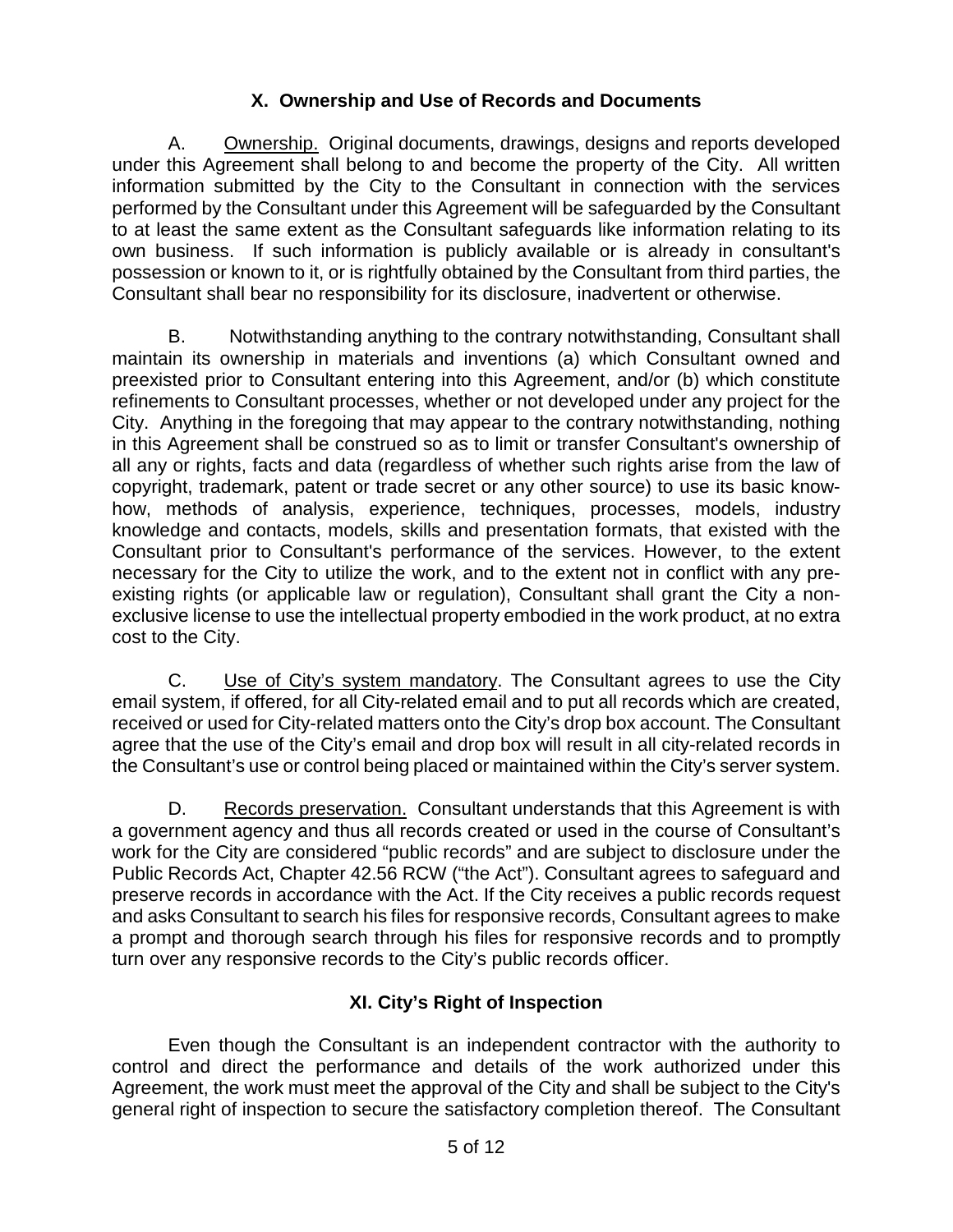# **X. Ownership and Use of Records and Documents**

A. Ownership. Original documents, drawings, designs and reports developed under this Agreement shall belong to and become the property of the City. All written information submitted by the City to the Consultant in connection with the services performed by the Consultant under this Agreement will be safeguarded by the Consultant to at least the same extent as the Consultant safeguards like information relating to its own business. If such information is publicly available or is already in consultant's possession or known to it, or is rightfully obtained by the Consultant from third parties, the Consultant shall bear no responsibility for its disclosure, inadvertent or otherwise.

B. Notwithstanding anything to the contrary notwithstanding, Consultant shall maintain its ownership in materials and inventions (a) which Consultant owned and preexisted prior to Consultant entering into this Agreement, and/or (b) which constitute refinements to Consultant processes, whether or not developed under any project for the City. Anything in the foregoing that may appear to the contrary notwithstanding, nothing in this Agreement shall be construed so as to limit or transfer Consultant's ownership of all any or rights, facts and data (regardless of whether such rights arise from the law of copyright, trademark, patent or trade secret or any other source) to use its basic knowhow, methods of analysis, experience, techniques, processes, models, industry knowledge and contacts, models, skills and presentation formats, that existed with the Consultant prior to Consultant's performance of the services. However, to the extent necessary for the City to utilize the work, and to the extent not in conflict with any preexisting rights (or applicable law or regulation), Consultant shall grant the City a nonexclusive license to use the intellectual property embodied in the work product, at no extra cost to the City.

C. Use of City's system mandatory. The Consultant agrees to use the City email system, if offered, for all City-related email and to put all records which are created, received or used for City-related matters onto the City's drop box account. The Consultant agree that the use of the City's email and drop box will result in all city-related records in the Consultant's use or control being placed or maintained within the City's server system.

D. Records preservation. Consultant understands that this Agreement is with a government agency and thus all records created or used in the course of Consultant's work for the City are considered "public records" and are subject to disclosure under the Public Records Act, Chapter 42.56 RCW ("the Act"). Consultant agrees to safeguard and preserve records in accordance with the Act. If the City receives a public records request and asks Consultant to search his files for responsive records, Consultant agrees to make a prompt and thorough search through his files for responsive records and to promptly turn over any responsive records to the City's public records officer.

# **XI. City's Right of Inspection**

Even though the Consultant is an independent contractor with the authority to control and direct the performance and details of the work authorized under this Agreement, the work must meet the approval of the City and shall be subject to the City's general right of inspection to secure the satisfactory completion thereof. The Consultant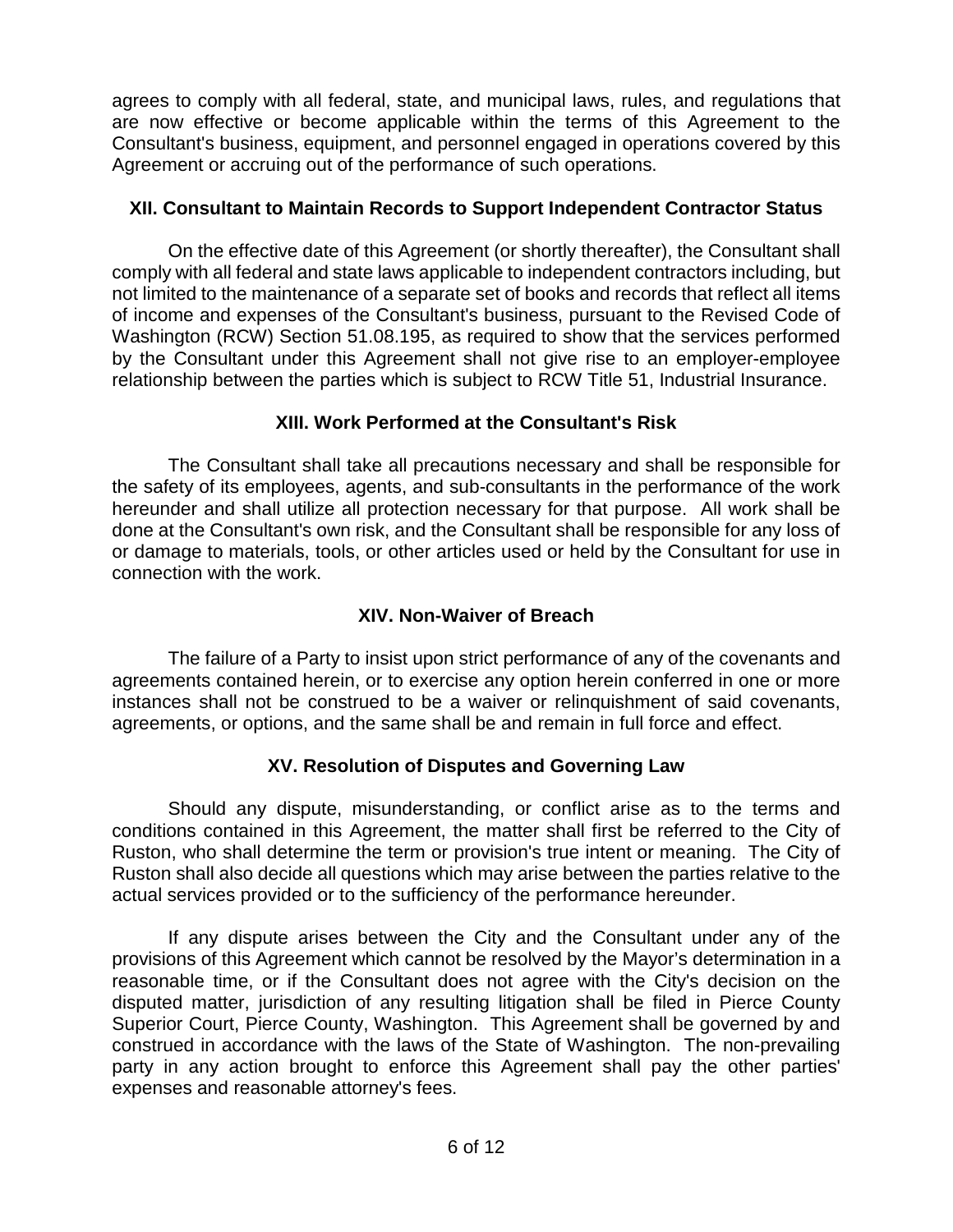agrees to comply with all federal, state, and municipal laws, rules, and regulations that are now effective or become applicable within the terms of this Agreement to the Consultant's business, equipment, and personnel engaged in operations covered by this Agreement or accruing out of the performance of such operations.

## **XII. Consultant to Maintain Records to Support Independent Contractor Status**

On the effective date of this Agreement (or shortly thereafter), the Consultant shall comply with all federal and state laws applicable to independent contractors including, but not limited to the maintenance of a separate set of books and records that reflect all items of income and expenses of the Consultant's business, pursuant to the Revised Code of Washington (RCW) Section 51.08.195, as required to show that the services performed by the Consultant under this Agreement shall not give rise to an employer-employee relationship between the parties which is subject to RCW Title 51, Industrial Insurance.

# **XIII. Work Performed at the Consultant's Risk**

The Consultant shall take all precautions necessary and shall be responsible for the safety of its employees, agents, and sub-consultants in the performance of the work hereunder and shall utilize all protection necessary for that purpose. All work shall be done at the Consultant's own risk, and the Consultant shall be responsible for any loss of or damage to materials, tools, or other articles used or held by the Consultant for use in connection with the work.

# **XIV. Non-Waiver of Breach**

The failure of a Party to insist upon strict performance of any of the covenants and agreements contained herein, or to exercise any option herein conferred in one or more instances shall not be construed to be a waiver or relinquishment of said covenants, agreements, or options, and the same shall be and remain in full force and effect.

## **XV. Resolution of Disputes and Governing Law**

Should any dispute, misunderstanding, or conflict arise as to the terms and conditions contained in this Agreement, the matter shall first be referred to the City of Ruston, who shall determine the term or provision's true intent or meaning. The City of Ruston shall also decide all questions which may arise between the parties relative to the actual services provided or to the sufficiency of the performance hereunder.

If any dispute arises between the City and the Consultant under any of the provisions of this Agreement which cannot be resolved by the Mayor's determination in a reasonable time, or if the Consultant does not agree with the City's decision on the disputed matter, jurisdiction of any resulting litigation shall be filed in Pierce County Superior Court, Pierce County, Washington. This Agreement shall be governed by and construed in accordance with the laws of the State of Washington. The non-prevailing party in any action brought to enforce this Agreement shall pay the other parties' expenses and reasonable attorney's fees.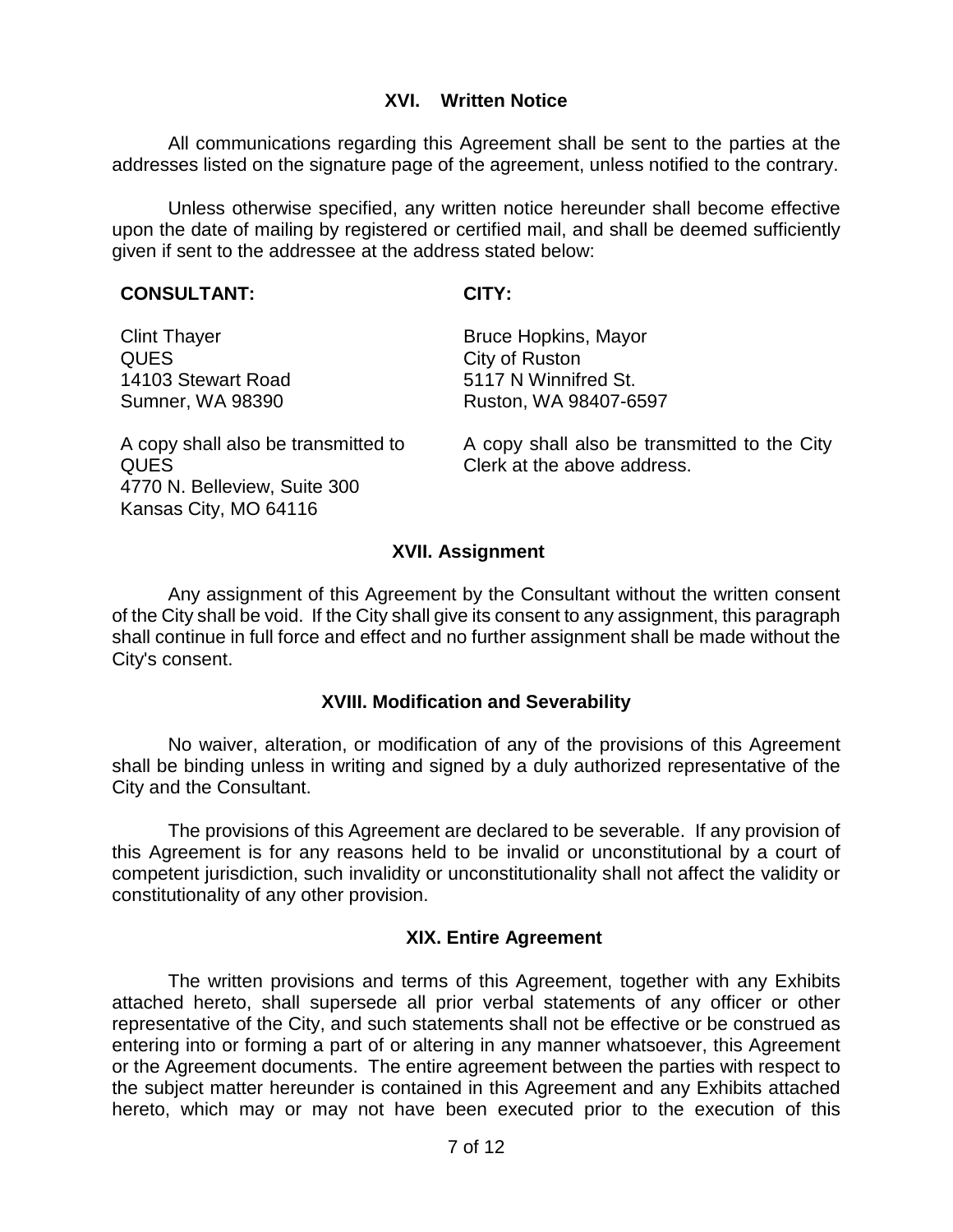#### **XVI. Written Notice**

All communications regarding this Agreement shall be sent to the parties at the addresses listed on the signature page of the agreement, unless notified to the contrary.

Unless otherwise specified, any written notice hereunder shall become effective upon the date of mailing by registered or certified mail, and shall be deemed sufficiently given if sent to the addressee at the address stated below:

#### **CONSULTANT: CITY:**

| <b>Clint Thayer</b>                                                                                         | <b>Bruce Hopkins, Mayor</b>                                                 |
|-------------------------------------------------------------------------------------------------------------|-----------------------------------------------------------------------------|
| <b>QUES</b>                                                                                                 | City of Ruston                                                              |
| 14103 Stewart Road                                                                                          | 5117 N Winnifred St.                                                        |
| Sumner, WA 98390                                                                                            | Ruston, WA 98407-6597                                                       |
| A copy shall also be transmitted to<br><b>QUES</b><br>4770 N. Belleview, Suite 300<br>Kansas City, MO 64116 | A copy shall also be transmitted to the City<br>Clerk at the above address. |

#### **XVII. Assignment**

Any assignment of this Agreement by the Consultant without the written consent of the City shall be void. If the City shall give its consent to any assignment, this paragraph shall continue in full force and effect and no further assignment shall be made without the City's consent.

#### **XVIII. Modification and Severability**

No waiver, alteration, or modification of any of the provisions of this Agreement shall be binding unless in writing and signed by a duly authorized representative of the City and the Consultant.

The provisions of this Agreement are declared to be severable. If any provision of this Agreement is for any reasons held to be invalid or unconstitutional by a court of competent jurisdiction, such invalidity or unconstitutionality shall not affect the validity or constitutionality of any other provision.

#### **XIX. Entire Agreement**

The written provisions and terms of this Agreement, together with any Exhibits attached hereto, shall supersede all prior verbal statements of any officer or other representative of the City, and such statements shall not be effective or be construed as entering into or forming a part of or altering in any manner whatsoever, this Agreement or the Agreement documents. The entire agreement between the parties with respect to the subject matter hereunder is contained in this Agreement and any Exhibits attached hereto, which may or may not have been executed prior to the execution of this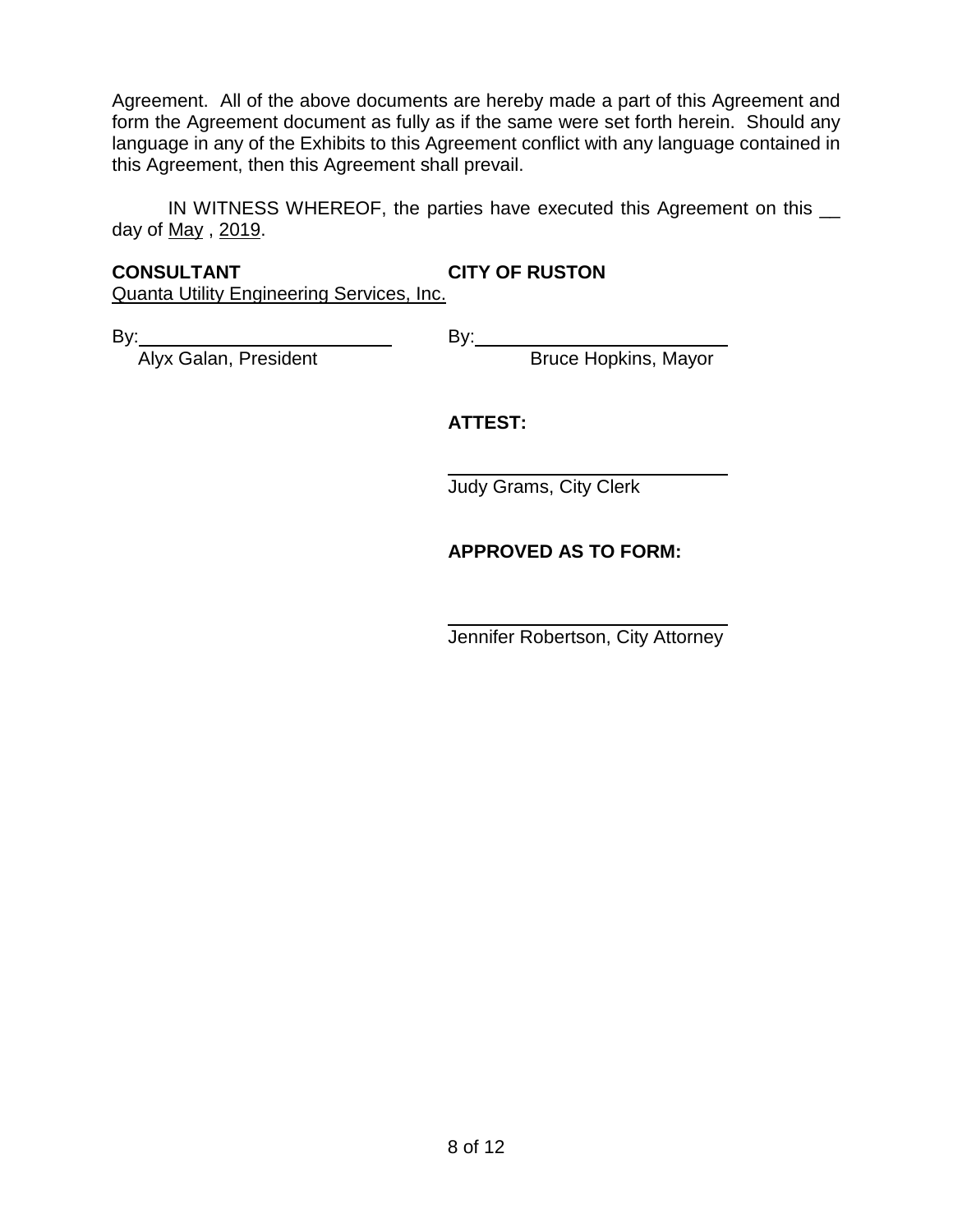Agreement. All of the above documents are hereby made a part of this Agreement and form the Agreement document as fully as if the same were set forth herein. Should any language in any of the Exhibits to this Agreement conflict with any language contained in this Agreement, then this Agreement shall prevail.

IN WITNESS WHEREOF, the parties have executed this Agreement on this \_\_ day of May , 2019.

#### **CONSULTANT CITY OF RUSTON**

Quanta Utility Engineering Services, Inc.

Alyx Galan, President and Bruce Hopkins, Mayor

By: By:

**ATTEST:**

Judy Grams, City Clerk

# **APPROVED AS TO FORM:**

Jennifer Robertson, City Attorney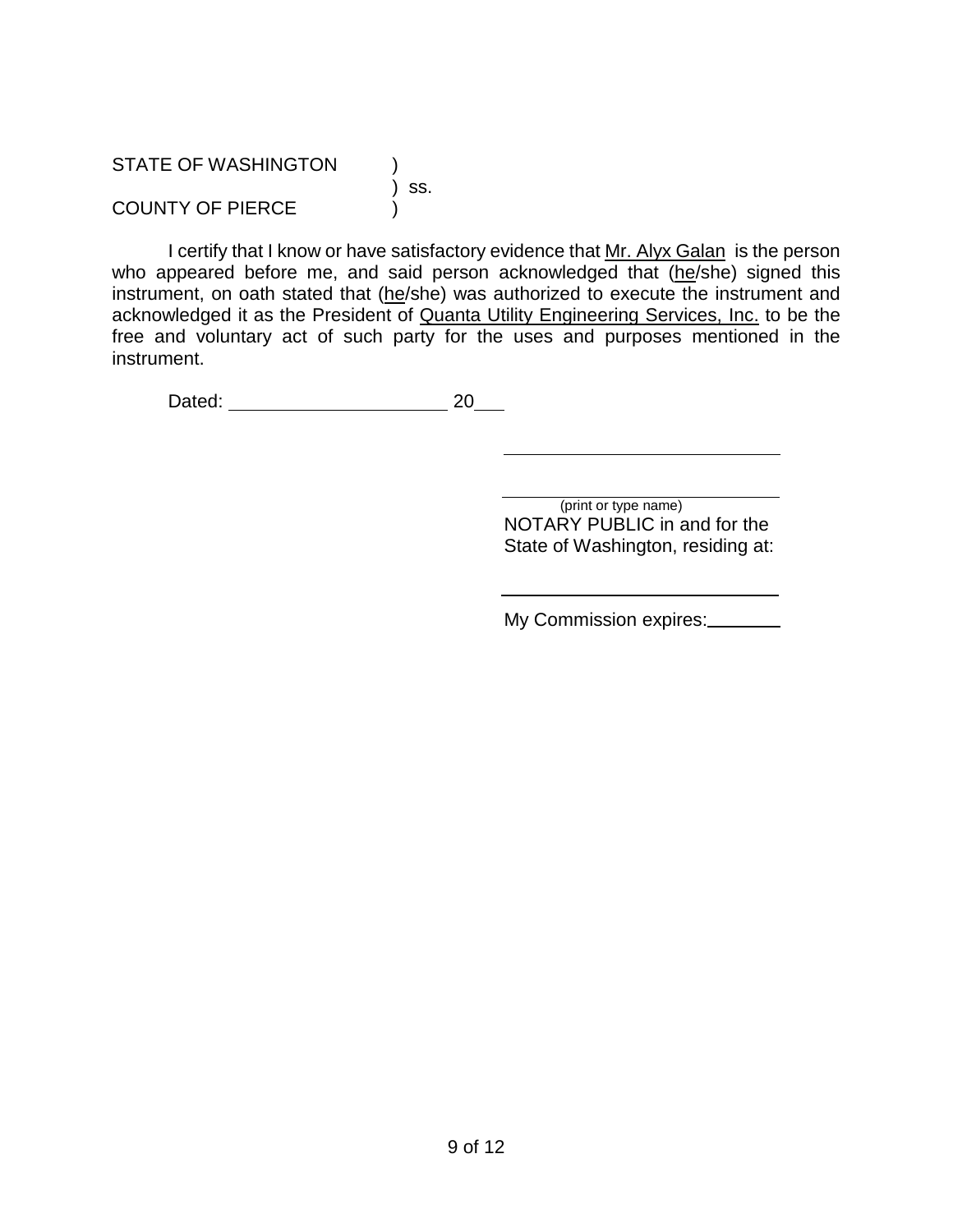STATE OF WASHINGTON

COUNTY OF PIERCE )

)<br>) ss.

I certify that I know or have satisfactory evidence that Mr. Alyx Galan is the person who appeared before me, and said person acknowledged that (he/she) signed this instrument, on oath stated that (he/she) was authorized to execute the instrument and acknowledged it as the President of Quanta Utility Engineering Services, Inc. to be the free and voluntary act of such party for the uses and purposes mentioned in the instrument.

Dated: 20

(print or type name) NOTARY PUBLIC in and for the State of Washington, residing at:

My Commission expires: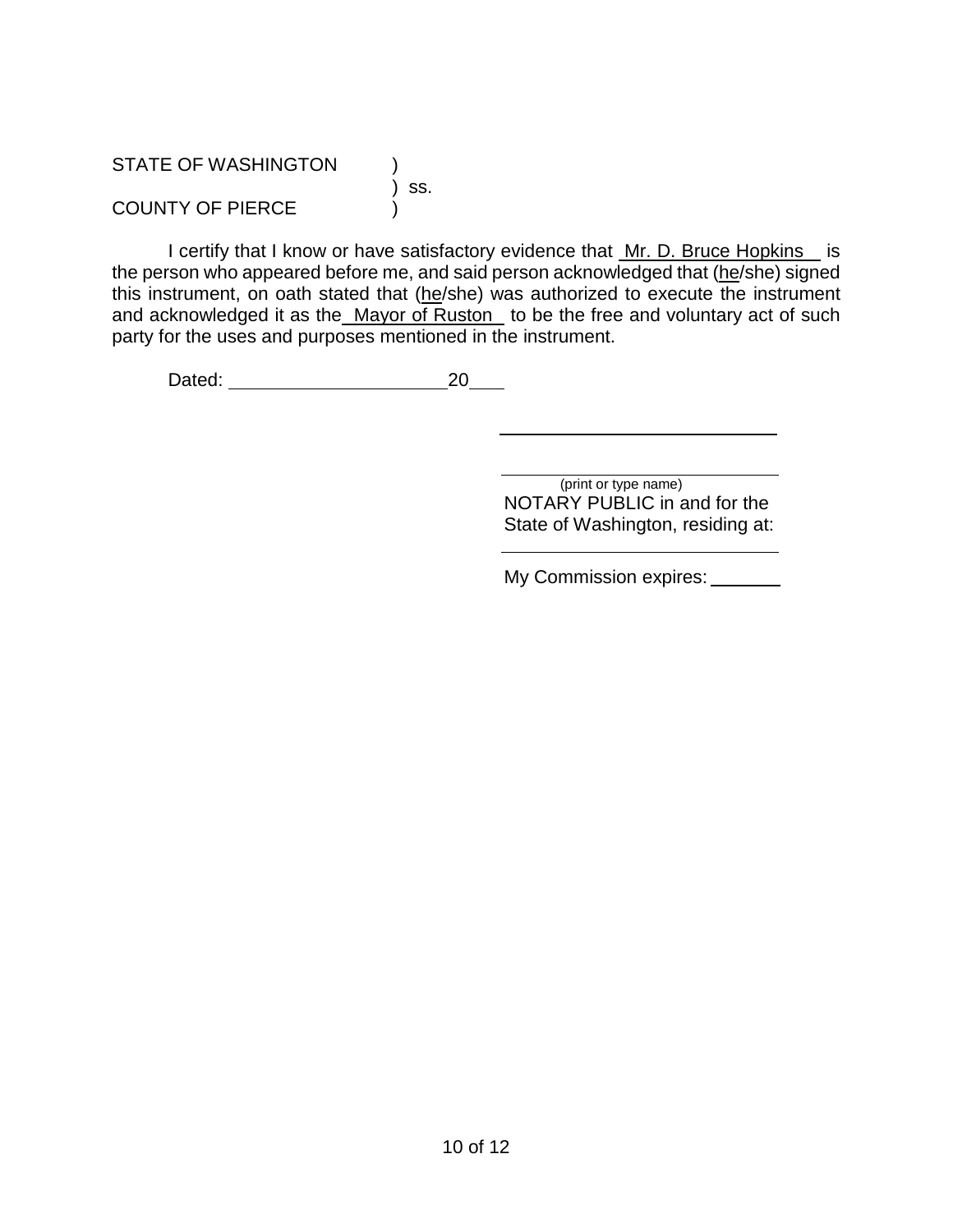STATE OF WASHINGTON

COUNTY OF PIERCE )

 $\int$  ss.

I certify that I know or have satisfactory evidence that Mr. D. Bruce Hopkins is the person who appeared before me, and said person acknowledged that (he/she) signed this instrument, on oath stated that (he/she) was authorized to execute the instrument and acknowledged it as the Mayor of Ruston to be the free and voluntary act of such party for the uses and purposes mentioned in the instrument.

L

Dated: 20

(print or type name) NOTARY PUBLIC in and for the State of Washington, residing at:

My Commission expires: \_\_\_\_\_\_\_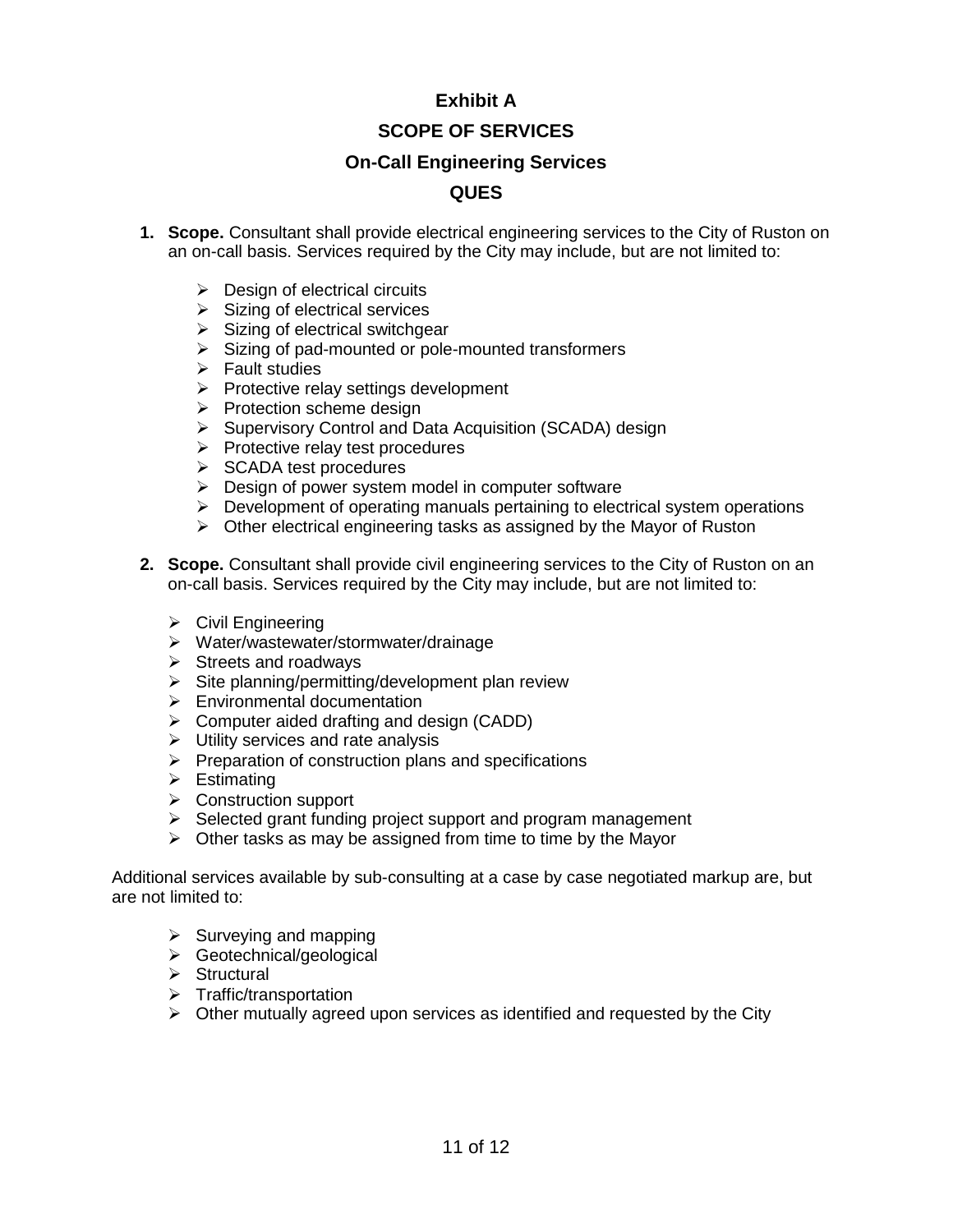# **Exhibit A**

# **SCOPE OF SERVICES**

#### **On-Call Engineering Services**

# **QUES**

- **1. Scope.** Consultant shall provide electrical engineering services to the City of Ruston on an on-call basis. Services required by the City may include, but are not limited to:
	- $\triangleright$  Design of electrical circuits
	- $\triangleright$  Sizing of electrical services
	- $\triangleright$  Sizing of electrical switchgear
	- $\triangleright$  Sizing of pad-mounted or pole-mounted transformers
	- $\triangleright$  Fault studies
	- $\triangleright$  Protective relay settings development
	- $\triangleright$  Protection scheme design
	- ▶ Supervisory Control and Data Acquisition (SCADA) design
	- $\triangleright$  Protective relay test procedures
	- $\triangleright$  SCADA test procedures
	- $\triangleright$  Design of power system model in computer software
	- $\triangleright$  Development of operating manuals pertaining to electrical system operations
	- $\triangleright$  Other electrical engineering tasks as assigned by the Mayor of Ruston
- **2. Scope.** Consultant shall provide civil engineering services to the City of Ruston on an on-call basis. Services required by the City may include, but are not limited to:
	- $\triangleright$  Civil Engineering
	- Water/wastewater/stormwater/drainage
	- $\triangleright$  Streets and roadways
	- $\triangleright$  Site planning/permitting/development plan review
	- Environmental documentation
	- $\triangleright$  Computer aided drafting and design (CADD)
	- $\triangleright$  Utility services and rate analysis
	- $\triangleright$  Preparation of construction plans and specifications
	- $\triangleright$  Estimating
	- $\triangleright$  Construction support
	- $\triangleright$  Selected grant funding project support and program management
	- $\triangleright$  Other tasks as may be assigned from time to time by the Mayor

Additional services available by sub-consulting at a case by case negotiated markup are, but are not limited to:

- $\triangleright$  Surveying and mapping
- $\triangleright$  Geotechnical/geological
- $\triangleright$  Structural
- $\triangleright$  Traffic/transportation
- $\triangleright$  Other mutually agreed upon services as identified and requested by the City